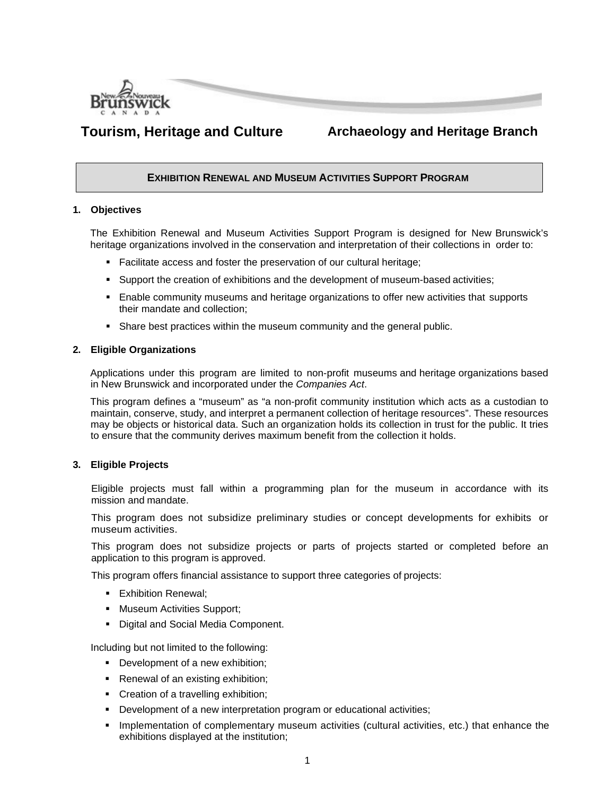

# **Tourism, Heritage and Culture Archaeology and Heritage Branch**

# **EXHIBITION RENEWAL AND MUSEUM ACTIVITIES SUPPORT PROGRAM**

# **1. Objectives**

The Exhibition Renewal and Museum Activities Support Program is designed for New Brunswick's heritage organizations involved in the conservation and interpretation of their collections in order to:

- Facilitate access and foster the preservation of our cultural heritage;
- **Support the creation of exhibitions and the development of museum-based activities;**
- Enable community museums and heritage organizations to offer new activities that supports their mandate and collection;
- Share best practices within the museum community and the general public.

#### **2. Eligible Organizations**

Applications under this program are limited to non-profit museums and heritage organizations based in New Brunswick and incorporated under the *Companies Act*.

This program defines a "museum" as "a non-profit community institution which acts as a custodian to maintain, conserve, study, and interpret a permanent collection of heritage resources". These resources may be objects or historical data. Such an organization holds its collection in trust for the public. It tries to ensure that the community derives maximum benefit from the collection it holds.

# **3. Eligible Projects**

Eligible projects must fall within a programming plan for the museum in accordance with its mission and mandate.

This program does not subsidize preliminary studies or concept developments for exhibits or museum activities.

This program does not subsidize projects or parts of projects started or completed before an application to this program is approved.

This program offers financial assistance to support three categories of projects:

- **Exhibition Renewal:**
- **Museum Activities Support;**
- **Digital and Social Media Component.**

Including but not limited to the following:

- Development of a new exhibition;
- **Renewal of an existing exhibition;**
- **Creation of a travelling exhibition;**
- Development of a new interpretation program or educational activities;
- **Implementation of complementary museum activities (cultural activities, etc.) that enhance the** exhibitions displayed at the institution;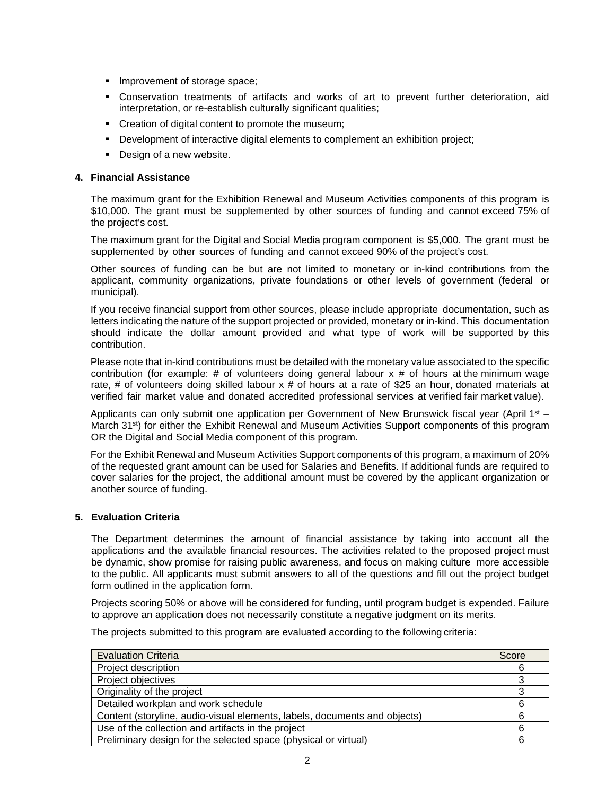- **Improvement of storage space;**
- Conservation treatments of artifacts and works of art to prevent further deterioration, aid interpretation, or re-establish culturally significant qualities;
- Creation of digital content to promote the museum;
- Development of interactive digital elements to complement an exhibition project;
- Design of a new website.

# **4. Financial Assistance**

The maximum grant for the Exhibition Renewal and Museum Activities components of this program is \$10,000. The grant must be supplemented by other sources of funding and cannot exceed 75% of the project's cost.

The maximum grant for the Digital and Social Media program component is \$5,000. The grant must be supplemented by other sources of funding and cannot exceed 90% of the project's cost.

Other sources of funding can be but are not limited to monetary or in-kind contributions from the applicant, community organizations, private foundations or other levels of government (federal or municipal).

If you receive financial support from other sources, please include appropriate documentation, such as letters indicating the nature of the support projected or provided, monetary or in-kind. This documentation should indicate the dollar amount provided and what type of work will be supported by this contribution.

Please note that in-kind contributions must be detailed with the monetary value associated to the specific contribution (for example:  $#$  of volunteers doing general labour  $x \#$  of hours at the minimum wage rate, # of volunteers doing skilled labour  $x \#$  of hours at a rate of \$25 an hour, donated materials at verified fair market value and donated accredited professional services at verified fair market value).

Applicants can only submit one application per Government of New Brunswick fiscal year (April 1<sup>st</sup>  $-$ March 31<sup>st</sup>) for either the Exhibit Renewal and Museum Activities Support components of this program OR the Digital and Social Media component of this program.

For the Exhibit Renewal and Museum Activities Support components of this program, a maximum of 20% of the requested grant amount can be used for Salaries and Benefits. If additional funds are required to cover salaries for the project, the additional amount must be covered by the applicant organization or another source of funding.

# **5. Evaluation Criteria**

The Department determines the amount of financial assistance by taking into account all the applications and the available financial resources. The activities related to the proposed project must be dynamic, show promise for raising public awareness, and focus on making culture more accessible to the public. All applicants must submit answers to all of the questions and fill out the project budget form outlined in the application form.

Projects scoring 50% or above will be considered for funding, until program budget is expended. Failure to approve an application does not necessarily constitute a negative judgment on its merits.

The projects submitted to this program are evaluated according to the following criteria:

| <b>Evaluation Criteria</b>                                                | Score |
|---------------------------------------------------------------------------|-------|
| Project description                                                       | 6     |
| Project objectives                                                        |       |
| Originality of the project                                                |       |
| Detailed workplan and work schedule                                       | 6     |
| Content (storyline, audio-visual elements, labels, documents and objects) | 6     |
| Use of the collection and artifacts in the project                        | 6     |
| Preliminary design for the selected space (physical or virtual)           | 6     |